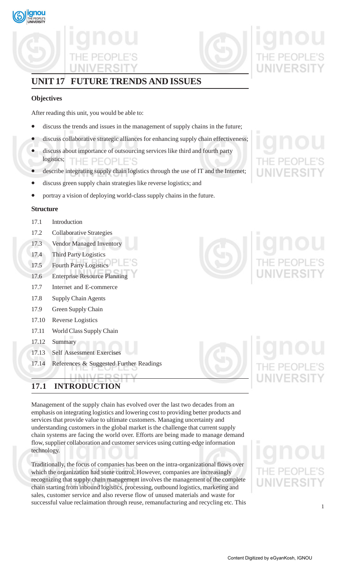

## **UNIT 17 FUTURE TRENDS AND ISSUES**

## **Objectives**

After reading this unit, you would be able to:

- discuss the trends and issues in the management of supply chains in the future;
- discuss collaborative strategic alliances for enhancing supply chain effectiveness;
- discuss about importance of outsourcing services like third and fourth party logistics; THE PEOPLE'S
- describe integrating supply chain logistics through the use of IT and the Internet;
- discuss green supply chain strategies like reverse logistics; and
- portray a vision of deploying world-class supply chains in the future.

### **Structure**

- 17.1 Introduction
- 17.2 Collaborative Strategies
- 17.3 Vendor Managed Inventory
- 17.4 Third Party Logistics
- 17.5 Fourth Party Logistics
- 17.6 Enterprise Resource Planning
- 17.7 Internet and E-commerce
- 17.8 Supply Chain Agents
- 17.9 Green Supply Chain
- 17.10 Reverse Logistics
- 17.11 World Class Supply Chain
- 17.12 Summary
- 17.13 Self Assessment Exercises
- 17.14 References & Suggested Further Readings

## **17.1 INTRODUCTION**

Management of the supply chain has evolved over the last two decades from an emphasis on integrating logistics and lowering cost to providing better products and services that provide value to ultimate customers. Managing uncertainty and understanding customers in the global market is the challenge that current supply chain systems are facing the world over. Efforts are being made to manage demand flow, supplier collaboration and customer services using cutting-edge information technology.

Traditionally, the focus of companies has been on the intra-organizational flows over which the organization had some control. However, companies are increasingly recognizing that supply chain management involves the management of the complete chain starting from inbound logistics, processing, outbound logistics, marketing and sales, customer service and also reverse flow of unused materials and waste for successful value reclaimation through reuse, remanufacturing and recycling etc. This

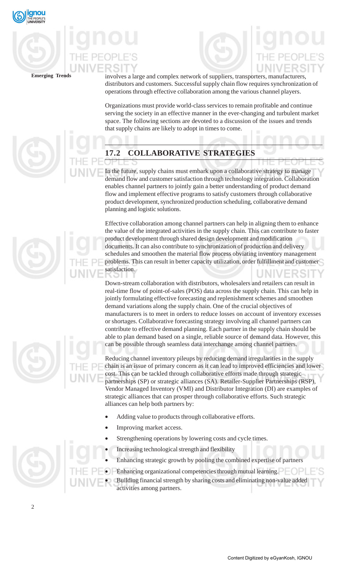

**Emerging Trends** involves a large and complex network of suppliers, transporters, manufacturers, distributors and customers. Successful supply chain flow requires synchronization of operations through effective collaboration among the various channel players.

> Organizations must provide world-class services to remain profitable and continue serving the society in an effective manner in the ever-changing and turbulent market space. The following sections are devoted to a discussion of the issues and trends that supply chains are likely to adopt in times to come.

## **17.2 COLLABORATIVE STRATEGIES**

In the future, supply chains must embark upon a collaborative strategy to manage demand flow and customer satisfaction through technology integration. Collaboration enables channel partners to jointly gain a better understanding of product demand flow and implement effective programs to satisfy customers through collaborative product development, synchronized production scheduling, collaborative demand planning and logistic solutions.

Effective collaboration among channel partners can help in aligning them to enhance the value of the integrated activities in the supply chain. This can contribute to faster product development through shared design development and modification documents. It can also contribute to synchronization of production and delivery schedules and smoothen the material flow process obviating inventory management problems. This can result in better capacity utilization, order fulfillment and customer satisfaction.

Down-stream collaboration with distributors, wholesalers and retailers can result in real-time flow of point-of-sales (POS) data across the supply chain. This can help in jointly formulating effective forecasting and replenishment schemes and smoothen demand variations along the supply chain. One of the crucial objectives of manufacturers is to meet in orders to reduce losses on account of inventory excesses or shortages. Collaborative forecasting strategy involving all channel partners can contribute to effective demand planning. Each partner in the supply chain should be able to plan demand based on a single, reliable source of demand data. However, this can be possible through seamless data interchange among channel partners.

Reducing channel inventory pileups by reducing demand irregularities in the supply chain is an issue of primary concern as it can lead to improved efficiencies and lower cost. This can be tackled through collaborative efforts made through strategic partnerships (SP) or strategic alliances (SA). Retailer-Supplier Partnerships (RSP), Vendor Managed Inventory (VMI) and Distributor Integration (DI) are examples of strategic alliances that can prosper through collaborative efforts. Such strategic alliances can help both partners by:

- Adding value to products through collaborative efforts.
- Improving market access.
- Strengthening operations by lowering costs and cycle times.
- Increasing technological strength and flexibility
- Enhancing strategic growth by pooling the combined expertise of partners
- Enhancing organizational competencies through mutual learning.
- Building financial strength by sharing costs and eliminating non-value added activities among partners.







2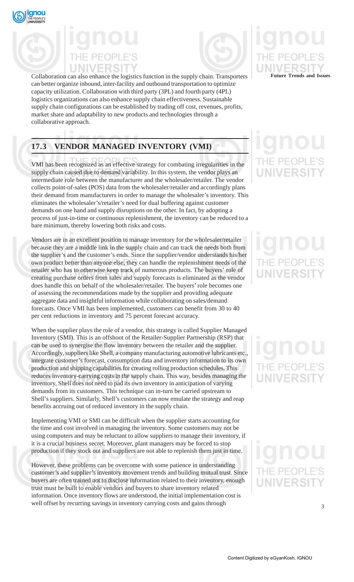



Collaboration can also enhance the logistics function in the supply chain. Transporters **Future Trends and Issues** can better organize inbound, inter-facility and outbound transportation to optimize capacity utilization. Collaboration with third party (3PL) and fourth party (4PL) logistics organizations can also enhance supply chain effectiveness. Sustainable supply chain configurations can be established by trading off cost, revenues, profits, market share and adaptability to new products and technologies through a collaborative approach.

## **17.3 VENDOR MANAGED INVENTORY (VMI)**

VMI has been recognized as an effective strategy for combating irregularities in the supply chain caused due to demand variability. In this system, the vendor plays an intermediate role between the manufacturer and the wholesaler/retailer. The vendor collects point-of-sales (POS) data from the wholesaler/retailer and accordingly plans their demand from manufacturers in order to manage the wholesaler's inventory. This eliminates the wholesaler's/retailer's need for dual buffering against customer demands on one hand and supply disruptions on the other. In fact, by adopting a process of just-in-time or continuous replenishment, the inventory can be reduced to a bare minimum, thereby lowering both risks and costs.

Vendors are in an excellent position to manage inventory for the wholesaler/retailer because they are a middle link in the supply chain and can track the needs both from the supplier's and the customer's ends. Since the supplier/vendor understands his/her own product better than anyone else, they can handle the replenishment needs of the retailer who has to otherwise keep track of numerous products. The buyers' role of creating purchase orders from sales and supply forecasts is eliminated as the vendor does handle this on behalf of the wholesaler/retailer. The buyers' role becomes one of assessing the recommendations made by the supplier and providing adequate aggregate data and insightful information while collaborating on sales/demand forecasts. Once VMI has been implemented, customers can benefit from 30 to 40 per cent reductions in inventory and 75 percent forecast accuracy.

When the supplier plays the role of a vendor, this strategy is called Supplier Managed Inventory (SMI). This is an offshoot of the Retailer-Supplier Partnership (RSP) that can be used to synergise the flow inventory between the retailer and the supplier. Accordingly, suppliers like Shell, a company manufacturing automotive lubricants etc., integrate customer's forecast, consumption data and inventory information to its own production and shipping capabilities for creating rolling production schedules. This reduces inventory-carrying costs in the supply chain. This way, besides managing the inventory, Shell does not need to pad its own inventory in anticipation of varying demands from its customers. This technique can in-turn be carried upstream to Shell's suppliers. Similarly, Shell's customers can now emulate the strategy and reap benefits accruing out of reduced inventory in the supply chain.

Implementing VMI or SMI can be difficult when the supplier starts accounting for the time and cost involved in managing the inventory. Some customers may not be using computers and may be reluctant to allow suppliers to manage their inventory, if it is a crucial business secret. Moreover, plant managers may be forced to stop production if they stock out and suppliers are not able to replenish them just in time.

However, these problems can be overcome with some patience in understanding customer's and supplier's inventory movement trends and building mutual trust. Since buyers are often trained not to disclose information related to their inventory, enough trust must be built to enable vendors and buyers to share inventory related information. Once inventory flows are understood, the initial implementation cost is well offset by recurring savings in inventory carrying costs and gains through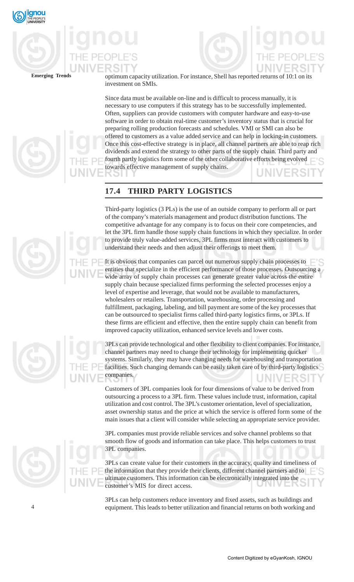



**Emerging Trends** optimum capacity utilization. For instance, Shell has reported returns of 10:1 on its investment on SMIs.

> Since data must be available on-line and is difficult to process manually, it is necessary to use computers if this strategy has to be successfully implemented. Often, suppliers can provide customers with computer hardware and easy-to-use software in order to obtain real-time customer's inventory status that is crucial for preparing rolling production forecasts and schedules. VMI or SMI can also be offered to customers as a value added service and can help in locking-in customers. Once this cost-effective strategy is in place, all channel partners are able to reap rich dividends and extend the strategy to other parts of the supply chain. Third party and fourth partly logistics form some of the other collaborative efforts being evolved towards effective management of supply chains.

## **17.4 THIRD PARTY LOGISTICS**

Third-party logistics (3 PLs) is the use of an outside company to perform all or part of the company's materials management and product distribution functions. The competitive advantage for any company is to focus on their core competencies, and let the 3PL firm handle those supply chain functions in which they specialize. In order to provide truly value-added services, 3PL firms must interact with customers to understand their needs and then adjust their offerings to meet them.

It is obvious that companies can parcel out numerous supply chain processes to entities that specialize in the efficient performance of those processes. Outsourcing a wide array of supply chain processes can generate greater value across the entire supply chain because specialized firms performing the selected processes enjoy a level of expertise and leverage, that would not be available to manufacturers, wholesalers or retailers. Transportation, warehousing, order processing and fulfillment, packaging, labeling, and bill payment are some of the key processes that can be outsourced to specialist firms called third-party logistics firms, or 3PLs. If these firms are efficient and effective, then the entire supply chain can benefit from improved capacity utilization, enhanced service levels and lower costs.

3PLs can provide technological and other flexibility to client companies. For instance, channel partners may need to change their technology for implementing quicker systems. Similarly, they may have changing needs for warehousing and transportation facilities. Such changing demands can be easily taken care of by third-party logistics companies.

Customers of 3PL companies look for four dimensions of value to be derived from outsourcing a process to a 3PL firm. These values include trust, information, capital utilization and cost control. The 3PL's customer orientation, level of specialization, asset ownership status and the price at which the service is offered form some of the main issues that a client will consider while selecting an appropriate service provider.

3PL companies must provide reliable services and solve channel problems so that smooth flow of goods and information can take place. This helps customers to trust 3PL companies.

3PLs can create value for their customers in the accuracy, quality and timeliness of the information that they provide their clients, different channel partners and to ultimate customers. This information can be electronically integrated into the customer's MIS for direct access.

3PLs can help customers reduce inventory and fixed assets, such as buildings and equipment. This leads to better utilization and financial returns on both working and





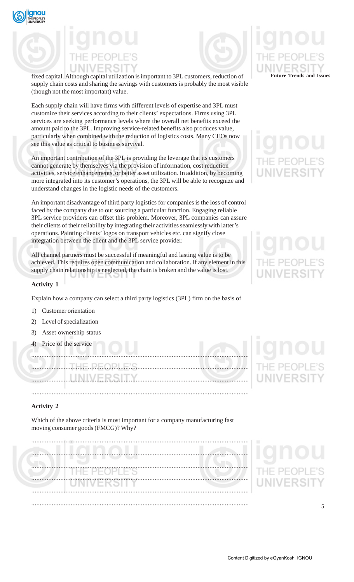



fixed capital. Although capital utilization is important to 3PL customers, reduction of supply chain costs and sharing the savings with customers is probably the most visible (though not the most important) value.

Each supply chain will have firms with different levels of expertise and 3PL must customize their services according to their clients' expectations. Firms using 3PL services are seeking performance levels where the overall net benefits exceed the amount paid to the 3PL. Improving service-related benefits also produces value, particularly when combined with the reduction of logistics costs. Many CEOs now see this value as critical to business survival.

An important contribution of the 3PL is providing the leverage that its customers cannot generate by themselves via the provision of information, cost reduction activities, service enhancements, or better asset utilization. In addition, by becoming more integrated into its customer's operations, the 3PL will be able to recognize and understand changes in the logistic needs of the customers.

An important disadvantage of third party logistics for companies is the loss of control faced by the company due to out sourcing a particular function. Engaging reliable 3PL service providers can offset this problem. Moreover, 3PL companies can assure their clients of their reliability by integrating their activities seamlessly with latter's operations. Painting clients' logos on transport vehicles etc. can signify close integration between the client and the 3PL service provider.

All channel partners must be successful if meaningful and lasting value is to be achieved. This requires open communication and collaboration. If any element in this supply chain relationship is neglected, the chain is broken and the value is lost.

## **Activity 1**

Explain how a company can select a third party logistics (3PL) firm on the basis of

- 1) Customer orientation
- 2) Level of specialization
- 3) Asset ownership status
- 4) Price of the service

...............................................................................................................................

### **Activity 2**

Which of the above criteria is most important for a company manufacturing fast moving consumer goods (FMCG)? Why?

............................................................................................................................... ............................................................................................................................... ............................................................................................................................... ............................................................................................................................... ............................................................................................................................... ...............................................................................................................................



## **UNIVERSIT**

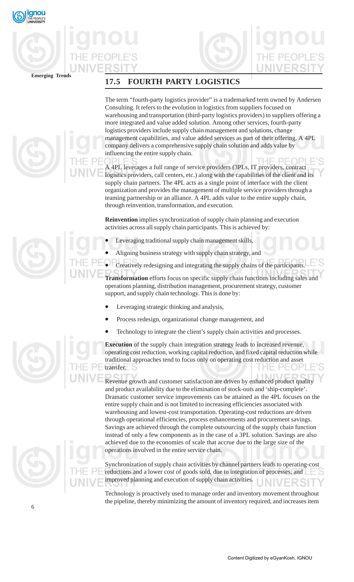



**Emerging Trends**

## **17.5 FOURTH PARTY LOGISTICS**

The term "fourth-party logistics provider" is a trademarked term owned by Andersen Consulting. It refers to the evolution in logistics from suppliers focused on warehousing and transportation (third-party logistics providers) to suppliers offering a more integrated and value added solution. Among other services, fourth-party logistics providers include supply chain management and solutions, change management capabilities, and value added services as part of their offering. A 4PL company delivers a comprehensive supply chain solution and adds value by influencing the entire supply chain.

A 4PL leverages a full range of service providers (3PLs, IT providers, contract logistics providers, call centers, etc.) along with the capabilities of the client and its supply chain partners. The 4PL acts as a single point of interface with the client organization and provides the management of multiple service providers through a teaming partnership or an alliance. A 4PL adds value to the entire supply chain, through reinvention, transformation, and execution.

**Reinvention** implies synchronization of supply chain planning and execution activities across all supply chain participants. This is achieved by:

- Leveraging traditional supply chain management skills,
- Aligning business strategy with supply chain strategy, and
- Creatively redesigning and integrating the supply chains of the participants.

**Transformation** efforts focus on specific supply chain functions including sales and operations planning, distribution management, procurement strategy, customer support, and supply chain technology. This is done by:

- Leveraging strategic thinking and analysis,
- Process redesign, organizational change management, and
- Technology to integrate the client's supply chain activities and processes.

**Execution** of the supply chain integration strategy leads to increased revenue, operating cost reduction, working capital reduction, and fixed capital reduction while traditional approaches tend to focus only on operating cost reduction and asset transfer.

Revenue growth and customer satisfaction are driven by enhanced product quality and product availability due to the elimination of stock-outs and 'ship-complete'. Dramatic customer service improvements can be attained as the 4PL focuses on the entire supply chain and is not limited to increasing efficiencies associated with warehousing and lowest-cost transportation. Operating-cost reductions are driven through operational efficiencies, process enhancements and procurement savings. Savings are achieved through the complete outsourcing of the supply chain function instead of only a few components as in the case of a 3PL solution. Savings are also achieved due to the economies of scale that accrue due to the large size of the operations involved in the entire service chain.

Synchronization of supply chain activities by channel partners leads to operating-cost reductions and a lower cost of goods sold, due to integration of processes, and improved planning and execution of supply chain activities.

Technology is proactively used to manage order and inventory movement throughout the pipeline, thereby minimizing the amount of inventory required, and increases item





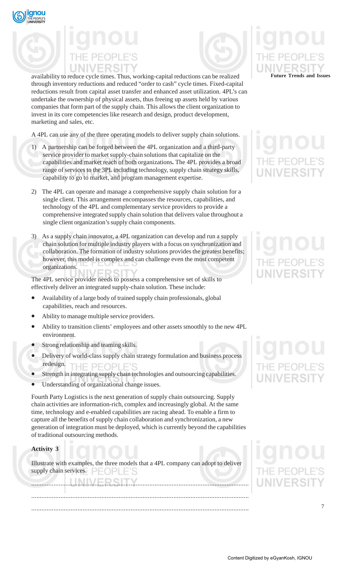



availability to reduce cycle times. Thus, working-capital reductions can be realized through inventory reductions and reduced "order to cash" cycle times. Fixed-capital reductions result from capital asset transfer and enhanced asset utilization. 4PL's can undertake the ownership of physical assets, thus freeing up assets held by various companies that form part of the supply chain. This allows the client organization to invest in its core competencies like research and design, product development, marketing and sales, etc.

A 4PL can use any of the three operating models to deliver supply chain solutions.

- 1) A partnership can be forged between the 4PL organization and a third-party service provider to market supply-chain solutions that capitalize on the capabilities and market reach of both organizations**.** The 4PL provides a broad range of services to the 3PL including technology, supply chain strategy skills, capability to go to market, and program management expertise.
- 2) The 4PL can operate and manage a comprehensive supply chain solution for a single client. This arrangement encompasses the resources, capabilities, and technology of the 4PL and complementary service providers to provide a comprehensive integrated supply chain solution that delivers value throughout a single client organization's supply chain components.
- 3) As a supply chain innovator, a 4PL organization can develop and run a supply chain solution for multiple industry players with a focus on synchronization and collaboration. The formation of industry solutions provides the greatest benefits; however, this model is complex and can challenge even the most competent organizations.

The 4PL service provider needs to possess a comprehensive set of skills to effectively deliver an integrated supply-chain solution. These include:

- Availability of a large body of trained supply chain professionals, global capabilities, reach and resources.
- Ability to manage multiple service providers.
- Ability to transition clients' employees and other assets smoothly to the new 4PL environment.
- Strong relationship and teaming skills.
- Delivery of world-class supply chain strategy formulation and business process redesign. THE PEOPLE'S
- Strength in integrating supply chain technologies and outsourcing capabilities.
- Understanding of organizational change issues.

Fourth Party Logistics is the next generation of supply chain outsourcing. Supply chain activities are information-rich, complex and increasingly global. At the same time, technology and e-enabled capabilities are racing ahead. To enable a firm to capture all the benefits of supply chain collaboration and synchronization, a new generation of integration must be deployed, which is currently beyond the capabilities of traditional outsourcing methods.

### **Activity 3**

Illustrate with examples, the three models that a 4PL company can adopt to deliver supply chain services.  $\Box$   $\Box$   $\Box$ 

............................................................................................................................... ............................................................................................................................... ...............................................................................................................................

# **Future Trends and Issues**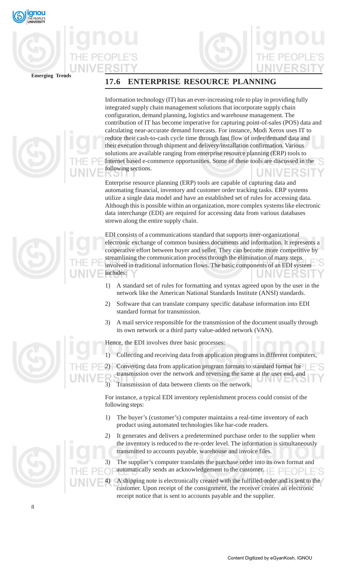





Information technology (IT) has an ever-increasing role to play in providing fully integrated supply chain management solutions that incorporate supply chain configuration, demand planning, logistics and warehouse management. The contribution of IT has become imperative for capturing point-of-sales (POS) data and calculating near-accurate demand forecasts. For instance, Modi Xerox uses IT to reduce their cash-to-cash cycle time through fast flow of order/demand data and their execution through shipment and delivery/installation confirmation. Various solutions are available ranging from enterprise resource planning (ERP) tools to Internet based e-commerce opportunities. Some of these tools are discussed in the following sections.

Enterprise resource planning (ERP) tools are capable of capturing data and automating financial, inventory and customer order tracking tasks. ERP systems utilize a single data model and have an established set of rules for accessing data. Although this is possible within an organization, more complex systems like electronic data interchange (EDI) are required for accessing data from various databases strewn along the entire supply chain.

EDI consists of a communications standard that supports inter-organizational electronic exchange of common business documents and information. It represents a cooperative effort between buyer and seller. They can become more competitive by streamlining the communication process through the elimination of many steps involved in traditional information flows. The basic components of an EDI system includes:

- 1) A standard set of rules for formatting and syntax agreed upon by the user in the network like the American National Standards Institute (ANSI) standards.
- 2) Software that can translate company specific database information into EDI standard format for transmission.
- 3) A mail service responsible for the transmission of the document usually through its own network or a third party value-added network (VAN).

Hence, the EDI involves three basic processes:

1) Collecting and receiving data from application programs in different computers,

2) Converting data from application program formats to standard format for transmission over the network and reversing the same at the user end, and 3) Transmission of data between clients on the network.

For instance, a typical EDI inventory replenishment process could consist of the following steps:

- 1) The buyer's (customer's) computer maintains a real-time inventory of each product using automated technologies like bar-code readers.
- 2) It generates and delivers a predetermined purchase order to the supplier when the inventory is reduced to the re-order level. The information is simultaneously transmitted to accounts payable, warehouse and invoice files.

3) The supplier's computer translates the purchase order into its own format and automatically sends an acknowledgement to the customer.  $\Box$   $\Box$   $\Box$   $\Box$   $\Box$ 

4) A shipping note is electronically created with the fulfilled order and is sent to the customer. Upon receipt of the consignment, the receiver creates an electronic receipt notice that is sent to accounts payable and the supplier.

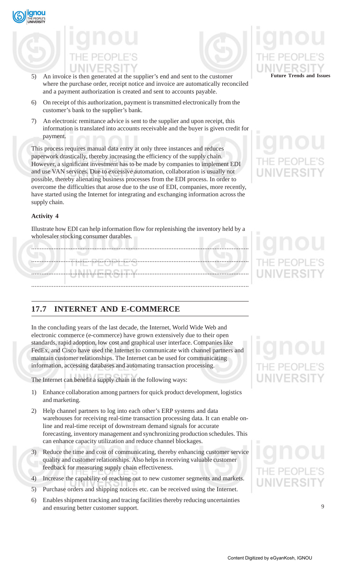



- 5) An invoice is then generated at the supplier's end and sent to the customer where the purchase order, receipt notice and invoice are automatically reconciled and a payment authorization is created and sent to accounts payable.
- 6) On receipt of this authorization, payment is transmitted electronically from the customer's bank to the supplier's bank.
- 7) An electronic remittance advice is sent to the supplier and upon receipt, this information is translated into accounts receivable and the buyer is given credit for payment.

This process requires manual data entry at only three instances and reduces paperwork drastically, thereby increasing the efficiency of the supply chain. However, a significant investment has to be made by companies to implement EDI and use VAN services. Due to excessive automation, collaboration is usually not possible, thereby alienating business processes from the EDI process. In order to overcome the difficulties that arose due to the use of EDI, companies, more recently, have started using the Internet for integrating and exchanging information across the supply chain.

## **Activity 4**

Illustrate how EDI can help information flow for replenishing the inventory held by a wholesaler stocking consumer durables.

| /   \   \         \ \ |  |
|-----------------------|--|
|                       |  |
|                       |  |

## **17.7 INTERNET AND E-COMMERCE**

In the concluding years of the last decade, the Internet, World Wide Web and electronic commerce (e-commerce) have grown extensively due to their open standards, rapid adoption, low cost and graphical user interface. Companies like FedEx, and Cisco have used the Internet to communicate with channel partners and maintain customer relationships. The Internet can be used for communicating information, accessing databases and automating transaction processing.

The Internet can benefit a supply chain in the following ways:

- 1) Enhance collaboration among partners for quick product development, logistics and marketing.
- 2) Help channel partners to log into each other's ERP systems and data warehouses for receiving real-time transaction processing data. It can enable online and real-time receipt of downstream demand signals for accurate forecasting, inventory management and synchronizing production schedules. This can enhance capacity utilization and reduce channel blockages.
- 3) Reduce the time and cost of communicating, thereby enhancing customer service quality and customer relationships. Also helps in receiving valuable customer feedback for measuring supply chain effectiveness.
- 4) Increase the capability of reaching out to new customer segments and markets.
- 5) Purchase orders and shipping notices etc. can be received using the Internet.
- 6) Enables shipment tracking and tracing facilities thereby reducing uncertainties and ensuring better customer support.

# **Future Trends and Issues**

## IF PFOP

## UNIVERSIT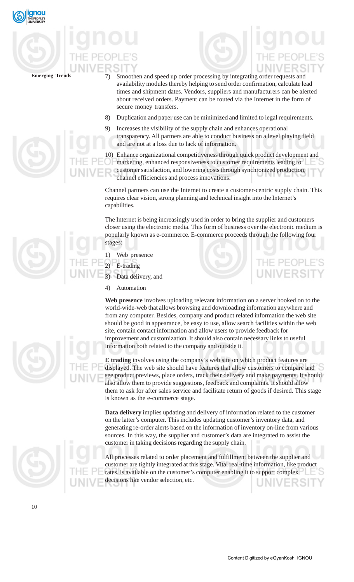

- 
- Emerging Trends 7) Smoothen and speed up order processing by integrating order requests and availability modules thereby helping to send order confirmation, calculate lead times and shipment dates. Vendors, suppliers and manufacturers can be alerted about received orders. Payment can be routed via the Internet in the form of secure money transfers.
	- 8) Duplication and paper use can be minimized and limited to legal requirements.
	- 9) Increases the visibility of the supply chain and enhances operational transparency. All partners are able to conduct business on a level playing field and are not at a loss due to lack of information.

10) Enhance organizational competitiveness through quick product development and marketing, enhanced responsiveness to customer requirements leading to customer satisfaction, and lowering costs through synchronized production, channel efficiencies and process innovations.

Channel partners can use the Internet to create a customer-centric supply chain. This requires clear vision, strong planning and technical insight into the Internet's capabilities.

The Internet is being increasingly used in order to bring the supplier and customers closer using the electronic media. This form of business over the electronic medium is popularly known as e-commerce. E-commerce proceeds through the following four stages:

- 1) Web presence
- E-trading
- Data delivery, and
- 4) Automation

**Web presence** involves uploading relevant information on a server hooked on to the world-wide-web that allows browsing and downloading information anywhere and from any computer. Besides, company and product related information the web site should be good in appearance, be easy to use, allow search facilities within the web site, contain contact information and allow users to provide feedback for improvement and customization. It should also contain necessary links to useful information both related to the company and outside it.

**E trading** involves using the company's web site on which product features are displayed. The web site should have features that allow customers to compare and see product previews, place orders, track their delivery and make payments. It should also allow them to provide suggestions, feedback and complaints. It should allow them to ask for after sales service and facilitate return of goods if desired. This stage is known as the e-commerce stage.

**Data delivery** implies updating and delivery of information related to the customer on the latter's computer. This includes updating customer's inventory data, and generating re-order alerts based on the information of inventory on-line from various sources. In this way, the supplier and customer's data are integrated to assist the customer in taking decisions regarding the supply chain.

All processes related to order placement and fulfillment between the supplier and customer are tightly integrated at this stage. Vital real-time information, like product rates, is available on the customer's computer enabling it to support complex decisions like vendor selection, etc.





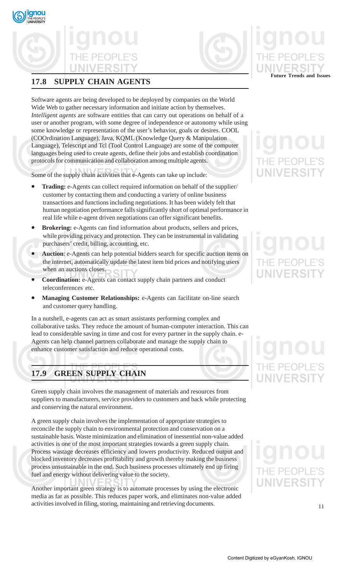## **17.8 SUPPLY CHAIN AGENTS**

Software agents are being developed to be deployed by companies on the World Wide Web to gather necessary information and initiate action by themselves. *Intelligent agents* are software entities that can carry out operations on behalf of a user or another program, with some degree of independence or autonomy while using some knowledge or representation of the user's behavior, goals or desires. COOL (COOrdination Language), Java, KQML (Knowledge Query & Manipulation Language), Telescript and Tcl (Tool Control Language) are some of the computer languages being used to create agents, define their jobs and establish coordination protocols for communication and collaboration among multiple agents.

Some of the supply chain activities that e-Agents can take up include:

- **Trading:** e-Agents can collect required information on behalf of the supplier/ customer by contacting them and conducting a variety of online business transactions and functions including negotiations. It has been widely felt that human negotiation performance falls significantly short of optimal performance in real life while e-agent driven negotiations can offer significant benefits.
- **Brokering:** e-Agents can find information about products, sellers and prices, while providing privacy and protection. They can be instrumental in validating purchasers' credit, billing, accounting, etc.
- **Auction**: e-Agents can help potential bidders search for specific auction items on the internet, automatically update the latest item bid prices and notifying users when an auctions closes.
- **Coordination:** e-Agents can contact supply chain partners and conduct teleconferences etc.
- **Managing Customer Relationships:** e-Agents can facilitate on-line search and customer query handling.

In a nutshell, e-agents can act as smart assistants performing complex and collaborative tasks. They reduce the amount of human-computer interaction. This can lead to considerable saving in time and cost for every partner in the supply chain. e-Agents can help channel partners collaborate and manage the supply chain to enhance customer satisfaction and reduce operational costs.

## **17.9 GREEN SUPPLY CHAIN**

Green supply chain involves the management of materials and resources from suppliers to manufacturers, service providers to customers and back while protecting and conserving the natural environment.

A green supply chain involves the implementation of appropriate strategies to reconcile the supply chain to environmental protection and conservation on a sustainable basis. Waste minimization and elimination of inessential non-value added activities is one of the most important strategies towards a green supply chain. Process wastage decreases efficiency and lowers productivity. Reduced output and blocked inventory decreases profitability and growth thereby making the business process unsustainable in the end. Such business processes ultimately end up firing fuel and energy without delivering value to the society.

Another important green strategy is to automate processes by using the electronic media as far as possible. This reduces paper work, and eliminates non-value added activities involved in filing, storing, maintaining and retrieving documents.

**Future Trends and Issues**



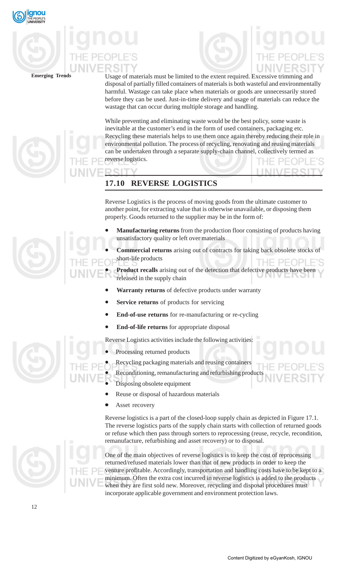

**Emerging Trends** Usage of materials must be limited to the extent required. Excessive trimming and disposal of partially filled containers of materials is both wasteful and environmentally harmful. Wastage can take place when materials or goods are unnecessarily stored before they can be used. Just-in-time delivery and usage of materials can reduce the wastage that can occur during multiple storage and handling.

> While preventing and eliminating waste would be the best policy, some waste is inevitable at the customer's end in the form of used containers, packaging etc. Recycling these materials helps to use them once again thereby reducing their role in environmental pollution. The process of recycling, renovating and reusing materials can be undertaken through a separate supply-chain channel, collectively termed as reverse logistics.

## **17.10 REVERSE LOGISTICS**

Reverse Logistics is the process of moving goods from the ultimate customer to another point, for extracting value that is otherwise unavailable, or disposing them properly. Goods returned to the supplier may be in the form of:

- **Manufacturing returns** from the production floor consisting of products having unsatisfactory quality or left over materials
- **Commercial returns** arising out of contracts for taking back obsolete stocks short-life products

Product recalls arising out of the detection that defective products have been released in the supply chain

- **Warranty returns** of defective products under warranty
- **Service returns** of products for servicing
- **End-of-use returns** for re-manufacturing or re-cycling
- **End-of-life returns** for appropriate disposal

Reverse Logistics activities include the following activities:

- Processing returned products
- Recycling packaging materials and reusing containers
- Reconditioning, remanufacturing and refurbishing products
- Disposing obsolete equipment
- Reuse or disposal of hazardous materials
- Asset recovery

Reverse logistics is a part of the closed-loop supply chain as depicted in Figure 17.1. The reverse logistics parts of the supply chain starts with collection of returned goods or refuse which then pass through sorters to reprocessing (reuse, recycle, recondition, remanufacture, refurbishing and asset recovery) or to disposal.

One of the main objectives of reverse logistics is to keep the cost of reprocessing returned/refused materials lower than that of new products in order to keep the venture profitable. Accordingly, transportation and handling costs have to be kept to a minimum. Often the extra cost incurred in reverse logistics is added to the products when they are first sold new. Moreover, recycling and disposal procedures must incorporate applicable government and environment protection laws.

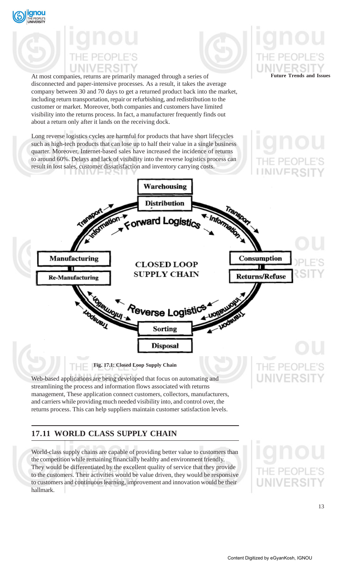



**Future Trends and Issues**

At most companies, returns are primarily managed through a series of disconnected and paper-intensive processes. As a result, it takes the average company between 30 and 70 days to get a returned product back into the market, including return transportation, repair or refurbishing, and redistribution to the customer or market. Moreover, both companies and customers have limited visibility into the returns process. In fact, a manufacturer frequently finds out about a return only after it lands on the receiving dock.

Long reverse logistics cycles are harmful for products that have short lifecycles such as high-tech products that can lose up to half their value in a single business quarter. Moreover, Internet-based sales have increased the incidence of returns to around 60%. Delays and lack of visibility into the reverse logistics process can result in lost sales, customer dissatisfaction and inventory carrying costs.



Web-based applications are being developed that focus on automating and streamlining the process and information flows associated with returns management, These application connect customers, collectors, manufacturers, and carriers while providing much needed visibility into, and control over, the returns process. This can help suppliers maintain customer satisfaction levels.

## **17.11 WORLD CLASS SUPPLY CHAIN**

World-class supply chains are capable of providing better value to customers than the competition while remaining financially healthy and environment friendly. They would be differentiated by the excellent quality of service that they provide to the customers. Their activities would be value driven, they would be responsive to customers and continuous learning, improvement and innovation would be their hallmark.

13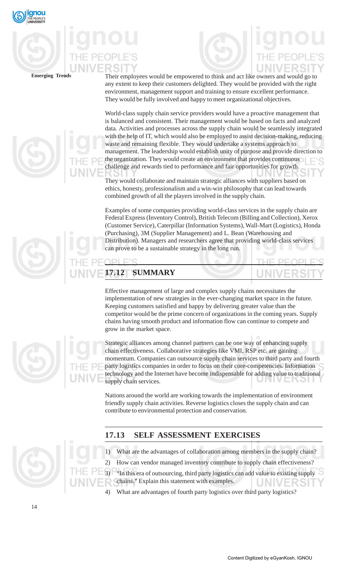

**Emerging Trends** Their employees would be empowered to think and act like owners and would go to any extent to keep their customers delighted. They would be provided with the right environment, management support and training to ensure excellent performance. They would be fully involved and happy to meet organizational objectives.

> World-class supply chain service providers would have a proactive management that is balanced and consistent. Their management would be based on facts and analyzed data. Activities and processes across the supply chain would be seamlessly integrated with the help of IT, which would also be employed to assist decision-making, reducing waste and remaining flexible. They would undertake a systems approach to management. The leadership would establish unity of purpose and provide direction to the organization. They would create an environment that provides continuous challenge and rewards tied to performance and fair opportunities for growth.

They would collaborate and maintain strategic alliances with suppliers based on ethics, honesty, professionalism and a win-win philosophy that can lead towards combined growth of all the players involved in the supply chain.

Examples of some companies providing world-class services in the supply chain are Federal Express (Inventory Control), British Telecom (Billing and Collection), Xerox (Customer Service), Caterpillar (Information Systems), Wall-Mart (Logistics), Honda (Purchasing), 3M (Supplier Management) and L. Bean (Warehousing and Distribution). Managers and researchers agree that providing world-class services can prove to be a sustainable strategy in the long run.

## **17.12 SUMMARY**

 $\Box$ C

 $D1$ 

Effective management of large and complex supply chains necessitates the implementation of new strategies in the ever-changing market space in the future. Keeping customers satisfied and happy by delivering greater value than the competitor would be the prime concern of organizations in the coming years. Supply chains having smooth product and information flow can continue to compete and grow in the market space.

Strategic alliances among channel partners can be one way of enhancing supply chain effectiveness. Collaborative strategies like VMI, RSP etc. are gaining momentum. Companies can outsource supply chain services to third party and fourth party logistics companies in order to focus on their core-competencies. Information technology and the Internet have become indispensable for adding value to traditional supply chain services.

Nations around the world are working towards the implementation of environment friendly supply chain activities. Reverse logistics closes the supply chain and can contribute to environmental protection and conservation.

## **17.13 SELF ASSESSMENT EXERCISES**

- 1) What are the advantages of collaboration among members in the supply chain?
- 2) How can vendor managed inventory contribute to supply chain effectiveness?
- 3) "In this era of outsourcing, third party logistics can add value to existing supply chains." Explain this statement with examples.

What are advantages of fourth party logistics over third party logistics?